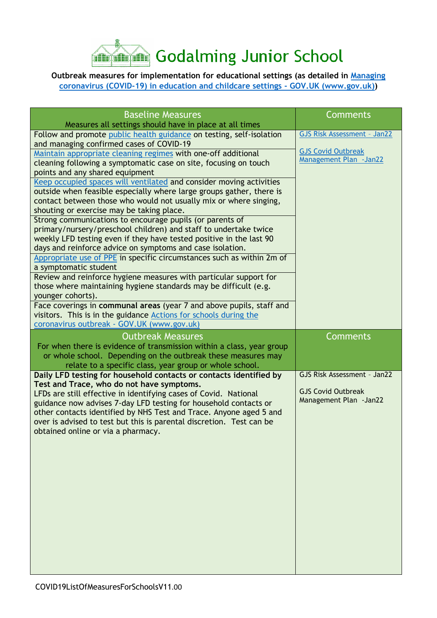

## **Outbreak measures for implementation for educational settings (as detailed in [Managing](https://www.gov.uk/government/publications/coronavirus-covid-19-local-restrictions-in-education-and-childcare-settings)  [coronavirus \(COVID-19\) in education and childcare settings -](https://www.gov.uk/government/publications/coronavirus-covid-19-local-restrictions-in-education-and-childcare-settings) GOV.UK (www.gov.uk))**

| <b>Baseline Measures</b>                                                                                                         | <b>Comments</b>                    |
|----------------------------------------------------------------------------------------------------------------------------------|------------------------------------|
| Measures all settings should have in place at all times                                                                          |                                    |
| Follow and promote public health guidance on testing, self-isolation<br>and managing confirmed cases of COVID-19                 | <b>GJS Risk Assessment - Jan22</b> |
| Maintain appropriate cleaning regimes with one-off additional                                                                    | <b>GJS Covid Outbreak</b>          |
| cleaning following a symptomatic case on site, focusing on touch                                                                 | Management Plan - Jan22            |
| points and any shared equipment                                                                                                  |                                    |
| Keep occupied spaces will ventilated and consider moving activities                                                              |                                    |
| outside when feasible especially where large groups gather, there is                                                             |                                    |
| contact between those who would not usually mix or where singing,                                                                |                                    |
| shouting or exercise may be taking place.                                                                                        |                                    |
| Strong communications to encourage pupils (or parents of                                                                         |                                    |
| primary/nursery/preschool children) and staff to undertake twice                                                                 |                                    |
| weekly LFD testing even if they have tested positive in the last 90<br>days and reinforce advice on symptoms and case isolation. |                                    |
| Appropriate use of PPE in specific circumstances such as within 2m of                                                            |                                    |
| a symptomatic student                                                                                                            |                                    |
| Review and reinforce hygiene measures with particular support for                                                                |                                    |
| those where maintaining hygiene standards may be difficult (e.g.                                                                 |                                    |
| younger cohorts).                                                                                                                |                                    |
| Face coverings in communal areas (year 7 and above pupils, staff and                                                             |                                    |
| visitors. This is in the guidance Actions for schools during the                                                                 |                                    |
| coronavirus outbreak - GOV.UK (www.gov.uk)                                                                                       |                                    |
| <b>Outbreak Measures</b>                                                                                                         | Comments                           |
| For when there is evidence of transmission within a class, year group                                                            |                                    |
| or whole school. Depending on the outbreak these measures may                                                                    |                                    |
| relate to a specific class, year group or whole school.                                                                          | GJS Risk Assessment - Jan22        |
| Daily LFD testing for household contacts or contacts identified by<br>Test and Trace, who do not have symptoms.                  |                                    |
| LFDs are still effective in identifying cases of Covid. National                                                                 | <b>GJS Covid Outbreak</b>          |
| guidance now advises 7-day LFD testing for household contacts or                                                                 | Management Plan - Jan22            |
| other contacts identified by NHS Test and Trace. Anyone aged 5 and                                                               |                                    |
| over is advised to test but this is parental discretion. Test can be                                                             |                                    |
| obtained online or via a pharmacy.                                                                                               |                                    |
|                                                                                                                                  |                                    |
|                                                                                                                                  |                                    |
|                                                                                                                                  |                                    |
|                                                                                                                                  |                                    |
|                                                                                                                                  |                                    |
|                                                                                                                                  |                                    |
|                                                                                                                                  |                                    |
|                                                                                                                                  |                                    |
|                                                                                                                                  |                                    |
|                                                                                                                                  |                                    |
|                                                                                                                                  |                                    |
|                                                                                                                                  |                                    |
|                                                                                                                                  |                                    |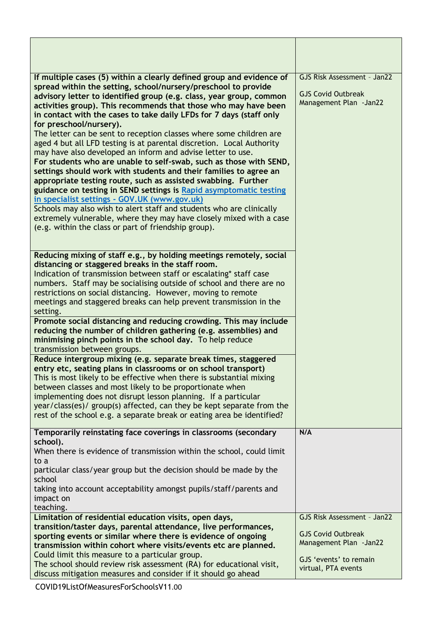| If multiple cases (5) within a clearly defined group and evidence of                                                                            | GJS Risk Assessment - Jan22 |
|-------------------------------------------------------------------------------------------------------------------------------------------------|-----------------------------|
| spread within the setting, school/nursery/preschool to provide<br>advisory letter to identified group (e.g. class, year group, common           | <b>GJS Covid Outbreak</b>   |
| activities group). This recommends that those who may have been                                                                                 | Management Plan - Jan22     |
| in contact with the cases to take daily LFDs for 7 days (staff only                                                                             |                             |
| for preschool/nursery).<br>The letter can be sent to reception classes where some children are                                                  |                             |
| aged 4 but all LFD testing is at parental discretion. Local Authority                                                                           |                             |
| may have also developed an inform and advise letter to use.                                                                                     |                             |
| For students who are unable to self-swab, such as those with SEND,                                                                              |                             |
| settings should work with students and their families to agree an<br>appropriate testing route, such as assisted swabbing. Further              |                             |
| guidance on testing in SEND settings is Rapid asymptomatic testing                                                                              |                             |
| in specialist settings - GOV.UK (www.gov.uk)                                                                                                    |                             |
| Schools may also wish to alert staff and students who are clinically                                                                            |                             |
| extremely vulnerable, where they may have closely mixed with a case<br>(e.g. within the class or part of friendship group).                     |                             |
|                                                                                                                                                 |                             |
|                                                                                                                                                 |                             |
| Reducing mixing of staff e.g., by holding meetings remotely, social<br>distancing or staggered breaks in the staff room.                        |                             |
| Indication of transmission between staff or escalating* staff case                                                                              |                             |
| numbers. Staff may be socialising outside of school and there are no                                                                            |                             |
| restrictions on social distancing. However, moving to remote                                                                                    |                             |
| meetings and staggered breaks can help prevent transmission in the<br>setting.                                                                  |                             |
| Promote social distancing and reducing crowding. This may include                                                                               |                             |
| reducing the number of children gathering (e.g. assemblies) and                                                                                 |                             |
| minimising pinch points in the school day. To help reduce                                                                                       |                             |
| transmission between groups.<br>Reduce intergroup mixing (e.g. separate break times, staggered                                                  |                             |
| entry etc, seating plans in classrooms or on school transport)                                                                                  |                             |
| This is most likely to be effective when there is substantial mixing                                                                            |                             |
| between classes and most likely to be proportionate when                                                                                        |                             |
| implementing does not disrupt lesson planning. If a particular                                                                                  |                             |
| year/class(es)/ group(s) affected, can they be kept separate from the<br>rest of the school e.g. a separate break or eating area be identified? |                             |
|                                                                                                                                                 |                             |
| Temporarily reinstating face coverings in classrooms (secondary<br>school).                                                                     | N/A                         |
| When there is evidence of transmission within the school, could limit                                                                           |                             |
| to a                                                                                                                                            |                             |
| particular class/year group but the decision should be made by the                                                                              |                             |
| school<br>taking into account acceptability amongst pupils/staff/parents and                                                                    |                             |
| impact on                                                                                                                                       |                             |
| teaching.                                                                                                                                       |                             |
| Limitation of residential education visits, open days,                                                                                          | GJS Risk Assessment - Jan22 |
| transition/taster days, parental attendance, live performances,                                                                                 | <b>GJS Covid Outbreak</b>   |
| sporting events or similar where there is evidence of ongoing                                                                                   | Management Plan - Jan22     |
| transmission within cohort where visits/events etc are planned.<br>Could limit this measure to a particular group.                              |                             |
| The school should review risk assessment (RA) for educational visit,                                                                            | GJS 'events' to remain      |
| discuss mitigation measures and consider if it should go ahead                                                                                  | virtual, PTA events         |